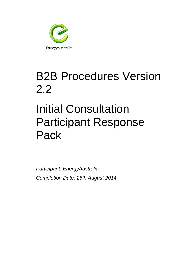

# B2B Procedures Version 2.2

# Initial Consultation Participant Response Pack

*Participant: EnergyAustralia Completion Date: 25th August 2014*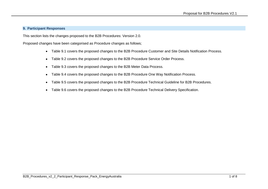#### **9. Participant Responses**

This section lists the changes proposed to the B2B Procedures: Version 2.0.

Proposed changes have been categorised as Procedure changes as follows;

- Table 9.1 covers the proposed changes to the B2B Procedure Customer and Site Details Notification Process.
- Table 9.2 covers the proposed changes to the B2B Procedure Service Order Process.
- Table 9.3 covers the proposed changes to the B2B Meter Data Process.
- Table 9.4 covers the proposed changes to the B2B Procedure One Way Notification Process.
- Table 9.5 covers the proposed changes to the B2B Procedure Technical Guideline for B2B Procedures.
- Table 9.6 covers the proposed changes to the B2B Procedure Technical Delivery Specification.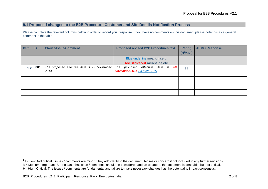### **9.1 Proposed changes to the B2B Procedure Customer and Site Details Notification Process**

| <b>Item</b> | ID   | <b>Clause/Issue/Comment</b>                        | <b>Proposed revised B2B Procedures text</b>                              | <b>Rating</b> | <b>AEMO Response</b> |
|-------------|------|----------------------------------------------------|--------------------------------------------------------------------------|---------------|----------------------|
|             |      |                                                    |                                                                          | $(H/M/L^1)$   |                      |
|             |      |                                                    | Blue underline means insert                                              |               |                      |
|             |      |                                                    | <b>Red strikeout</b> means delete                                        |               |                      |
| 9.1.2       | 0001 | The proposed effective date is 22 November<br>2014 | proposed effective date is 22<br>The<br><b>November 2014</b> 23 May 2015 | $\mathsf{H}$  |                      |
|             |      |                                                    |                                                                          |               |                      |
|             |      |                                                    |                                                                          |               |                      |
|             |      |                                                    |                                                                          |               |                      |

<sup>-</sup> $1$  L= Low: Not critical. Issues / comments are minor. They add clarity to the document. No major concern if not included in any further revisions M= Medium: Important. Strong case that issue / comments should be considered and an update to the document is desirable, but not critical. H= High: Critical. The issues / comments are fundamental and failure to make necessary changes has the potential to impact consensus.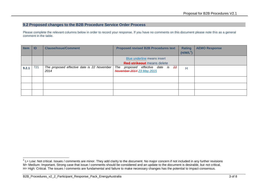### **9.2 Proposed changes to the B2B Procedure Service Order Process**

| <b>Item</b> | ID  | <b>Clause/Issue/Comment</b>                        | <b>Proposed revised B2B Procedures text</b>                       | <b>Rating</b>         | <b>AEMO Response</b> |
|-------------|-----|----------------------------------------------------|-------------------------------------------------------------------|-----------------------|----------------------|
|             |     |                                                    |                                                                   | (H/M/L <sup>2</sup> ) |                      |
|             |     |                                                    | Blue underline means insert                                       |                       |                      |
|             |     |                                                    | <b>Red strikeout</b> means delete                                 |                       |                      |
| 9.2.1       | 721 | The proposed effective date is 22 November<br>2014 | proposed effective date is 22<br>The<br>November 2014 23 May 2015 | Н                     |                      |
|             |     |                                                    |                                                                   |                       |                      |
|             |     |                                                    |                                                                   |                       |                      |
|             |     |                                                    |                                                                   |                       |                      |

 2 L= Low: Not critical. Issues / comments are minor. They add clarity to the document. No major concern if not included in any further revisions M= Medium: Important. Strong case that issue / comments should be considered and an update to the document is desirable, but not critical. H= High: Critical. The issues / comments are fundamental and failure to make necessary changes has the potential to impact consensus.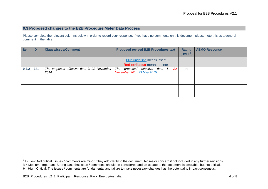## **9.3 Proposed changes to the B2B Procedure Meter Data Process**

| <b>Item</b> | ID  | <b>Clause/Issue/Comment</b>                        | <b>Proposed revised B2B Procedures text</b>                              | <b>Rating</b><br>$(H/M/L^3)$ | <b>AEMO Response</b> |
|-------------|-----|----------------------------------------------------|--------------------------------------------------------------------------|------------------------------|----------------------|
|             |     |                                                    | Blue underline means insert<br><b>Red strikeout</b> means delete         |                              |                      |
| 9.3.2       | 721 | The proposed effective date is 22 November<br>2014 | The<br>proposed effective date is 22<br><b>November 2014</b> 23 May 2015 | H                            |                      |
|             |     |                                                    |                                                                          |                              |                      |
|             |     |                                                    |                                                                          |                              |                      |
|             |     |                                                    |                                                                          |                              |                      |

 3 L= Low: Not critical. Issues / comments are minor. They add clarity to the document. No major concern if not included in any further revisions M= Medium: Important. Strong case that issue / comments should be considered and an update to the document is desirable, but not critical. H= High: Critical. The issues / comments are fundamental and failure to make necessary changes has the potential to impact consensus.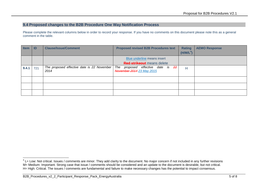### **9.4 Proposed changes to the B2B Procedure One Way Notification Process**

| <b>Item</b> | ID  | <b>Clause/Issue/Comment</b>                        | <b>Proposed revised B2B Procedures text</b>                       | <b>Rating</b>         | <b>AEMO Response</b> |
|-------------|-----|----------------------------------------------------|-------------------------------------------------------------------|-----------------------|----------------------|
|             |     |                                                    |                                                                   | (H/M/L <sup>4</sup> ) |                      |
|             |     |                                                    | Blue underline means insert                                       |                       |                      |
|             |     |                                                    | <b>Red strikeout</b> means delete                                 |                       |                      |
| 9.4.1       | 721 | The proposed effective date is 22 November<br>2014 | proposed effective date is 22<br>The<br>November 2014 23 May 2015 | Н                     |                      |
|             |     |                                                    |                                                                   |                       |                      |
|             |     |                                                    |                                                                   |                       |                      |
|             |     |                                                    |                                                                   |                       |                      |

 4 L= Low: Not critical. Issues / comments are minor. They add clarity to the document. No major concern if not included in any further revisions M= Medium: Important. Strong case that issue / comments should be considered and an update to the document is desirable, but not critical. H= High: Critical. The issues / comments are fundamental and failure to make necessary changes has the potential to impact consensus.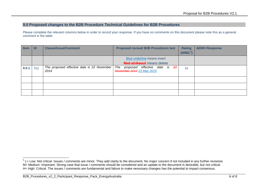#### **9.5 Proposed changes to the B2B Procedure Technical Guidelines for B2B Procedures**

| <b>Item</b> | ID  | <b>Clause/Issue/Comment</b>                        | <b>Proposed revised B2B Procedures text</b>                       | <b>Rating</b>         | <b>AEMO Response</b> |
|-------------|-----|----------------------------------------------------|-------------------------------------------------------------------|-----------------------|----------------------|
|             |     |                                                    |                                                                   | (H/M/L <sup>5</sup> ) |                      |
|             |     |                                                    | Blue underline means insert                                       |                       |                      |
|             |     |                                                    | <b>Red strikeout</b> means delete                                 |                       |                      |
| 9.5.1       | 721 | The proposed effective date is 22 November<br>2014 | proposed effective date is 22<br>The<br>November 2014 23 May 2015 | Н                     |                      |
|             |     |                                                    |                                                                   |                       |                      |
|             |     |                                                    |                                                                   |                       |                      |
|             |     |                                                    |                                                                   |                       |                      |

 5 L= Low: Not critical. Issues / comments are minor. They add clarity to the document. No major concern if not included in any further revisions M= Medium: Important. Strong case that issue / comments should be considered and an update to the document is desirable, but not critical. H= High: Critical. The issues / comments are fundamental and failure to make necessary changes has the potential to impact consensus.